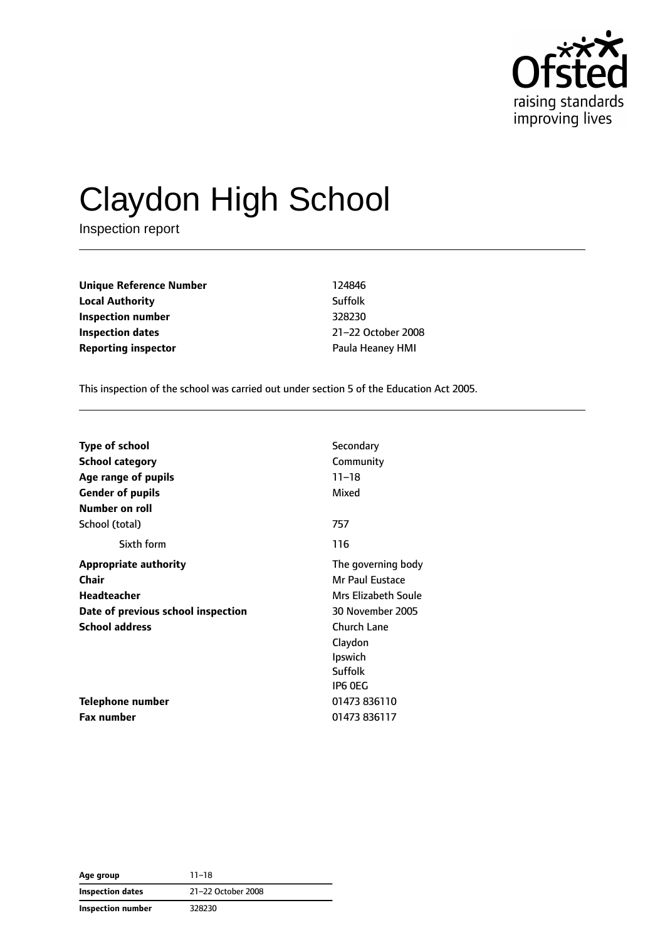

# Claydon High School

Inspection report

**Unique Reference Number** 124846 **Local Authority** Suffolk **Inspection number** 328230 **Inspection dates** 21–22 October 2008 **Reporting inspector CONSERVING PAULA HEADER PAULA HEADER PAULA HEADER PAULA HEADER PAULA HEADER PAULA HEADER** 

This inspection of the school was carried out under section 5 of the Education Act 2005.

| <b>Type of school</b>              | Secondary           |
|------------------------------------|---------------------|
| <b>School category</b>             | Community           |
| Age range of pupils                | $11 - 18$           |
| <b>Gender of pupils</b>            | Mixed               |
| Number on roll                     |                     |
| School (total)                     | 757                 |
| Sixth form                         | 116                 |
| <b>Appropriate authority</b>       | The governing body  |
| <b>Chair</b>                       | Mr Paul Eustace     |
| Headteacher                        | Mrs Elizabeth Soule |
| Date of previous school inspection | 30 November 2005    |
| <b>School address</b>              | <b>Church Lane</b>  |
|                                    | Claydon             |
|                                    | Ipswich             |
|                                    | Suffolk             |
|                                    | IP6 OEG             |
| Telephone number                   | 01473 836110        |
| <b>Fax number</b>                  | 01473 836117        |

**Age group** 11–18 **Inspection dates** 21–22 October 2008 **Inspection number** 328230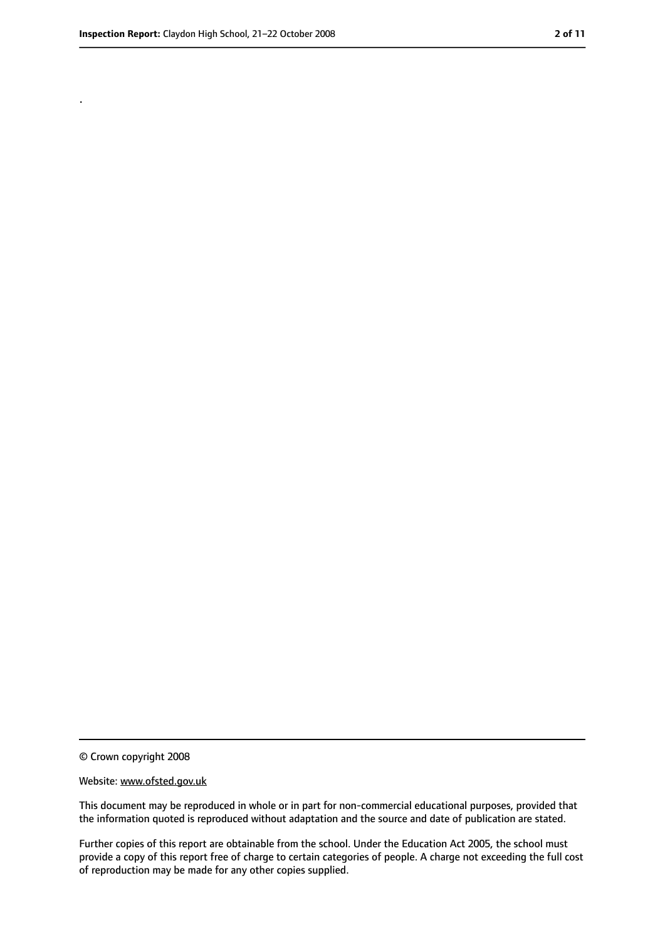.

<sup>©</sup> Crown copyright 2008

Website: www.ofsted.gov.uk

This document may be reproduced in whole or in part for non-commercial educational purposes, provided that the information quoted is reproduced without adaptation and the source and date of publication are stated.

Further copies of this report are obtainable from the school. Under the Education Act 2005, the school must provide a copy of this report free of charge to certain categories of people. A charge not exceeding the full cost of reproduction may be made for any other copies supplied.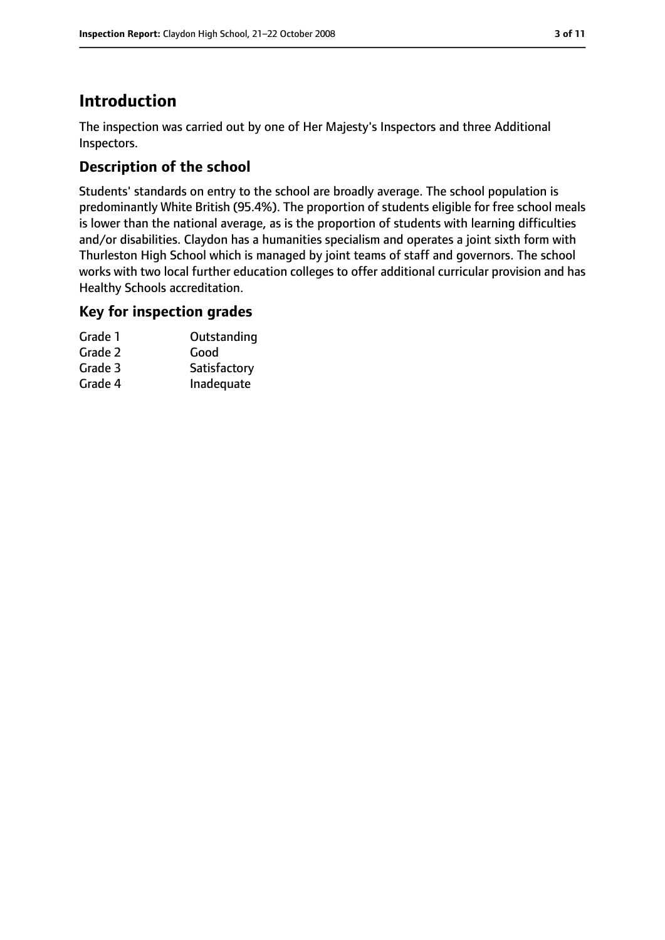# **Introduction**

The inspection was carried out by one of Her Majesty's Inspectors and three Additional Inspectors.

## **Description of the school**

Students' standards on entry to the school are broadly average. The school population is predominantly White British (95.4%). The proportion of students eligible for free school meals is lower than the national average, as is the proportion of students with learning difficulties and/or disabilities. Claydon has a humanities specialism and operates a joint sixth form with Thurleston High School which is managed by joint teams of staff and governors. The school works with two local further education colleges to offer additional curricular provision and has Healthy Schools accreditation.

## **Key for inspection grades**

| Grade 1 | Outstanding  |
|---------|--------------|
| Grade 2 | Good         |
| Grade 3 | Satisfactory |
| Grade 4 | Inadequate   |
|         |              |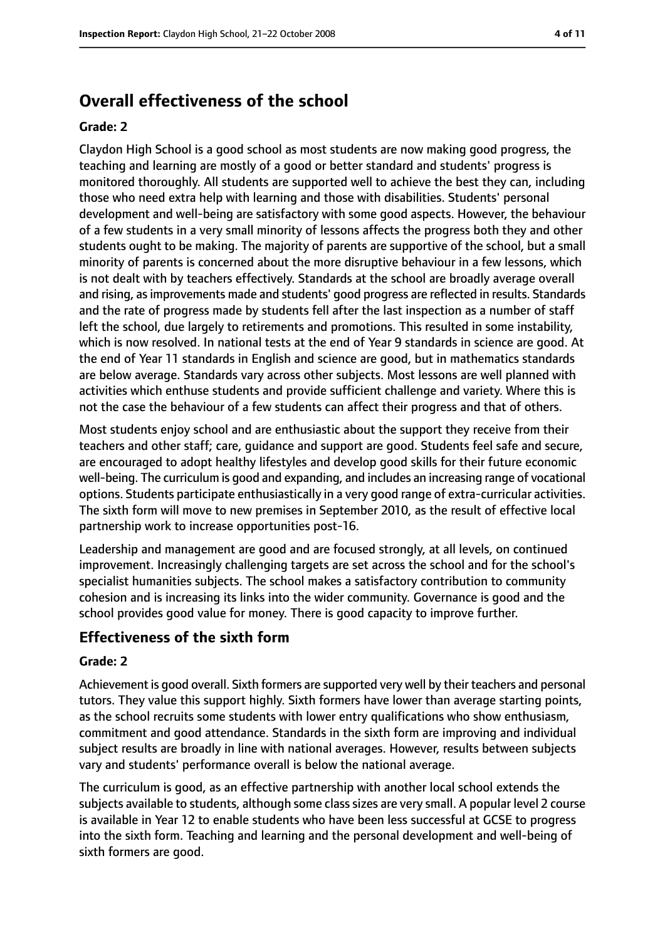# **Overall effectiveness of the school**

#### **Grade: 2**

Claydon High School is a good school as most students are now making good progress, the teaching and learning are mostly of a good or better standard and students' progress is monitored thoroughly. All students are supported well to achieve the best they can, including those who need extra help with learning and those with disabilities. Students' personal development and well-being are satisfactory with some good aspects. However, the behaviour of a few students in a very small minority of lessons affects the progress both they and other students ought to be making. The majority of parents are supportive of the school, but a small minority of parents is concerned about the more disruptive behaviour in a few lessons, which is not dealt with by teachers effectively. Standards at the school are broadly average overall and rising, asimprovements made and students' good progress are reflected in results. Standards and the rate of progress made by students fell after the last inspection as a number of staff left the school, due largely to retirements and promotions. This resulted in some instability, which is now resolved. In national tests at the end of Year 9 standards in science are good. At the end of Year 11 standards in English and science are good, but in mathematics standards are below average. Standards vary across other subjects. Most lessons are well planned with activities which enthuse students and provide sufficient challenge and variety. Where this is not the case the behaviour of a few students can affect their progress and that of others.

Most students enjoy school and are enthusiastic about the support they receive from their teachers and other staff; care, guidance and support are good. Students feel safe and secure, are encouraged to adopt healthy lifestyles and develop good skills for their future economic well-being. The curriculum is good and expanding, and includes an increasing range of vocational options. Students participate enthusiastically in a very good range of extra-curricular activities. The sixth form will move to new premises in September 2010, as the result of effective local partnership work to increase opportunities post-16.

Leadership and management are good and are focused strongly, at all levels, on continued improvement. Increasingly challenging targets are set across the school and for the school's specialist humanities subjects. The school makes a satisfactory contribution to community cohesion and is increasing its links into the wider community. Governance is good and the school provides good value for money. There is good capacity to improve further.

### **Effectiveness of the sixth form**

#### **Grade: 2**

Achievement is good overall. Sixth formers are supported very well by their teachers and personal tutors. They value this support highly. Sixth formers have lower than average starting points, as the school recruits some students with lower entry qualifications who show enthusiasm, commitment and good attendance. Standards in the sixth form are improving and individual subject results are broadly in line with national averages. However, results between subjects vary and students' performance overall is below the national average.

The curriculum is good, as an effective partnership with another local school extends the subjects available to students, although some class sizes are very small. A popular level 2 course is available in Year 12 to enable students who have been less successful at GCSE to progress into the sixth form. Teaching and learning and the personal development and well-being of sixth formers are good.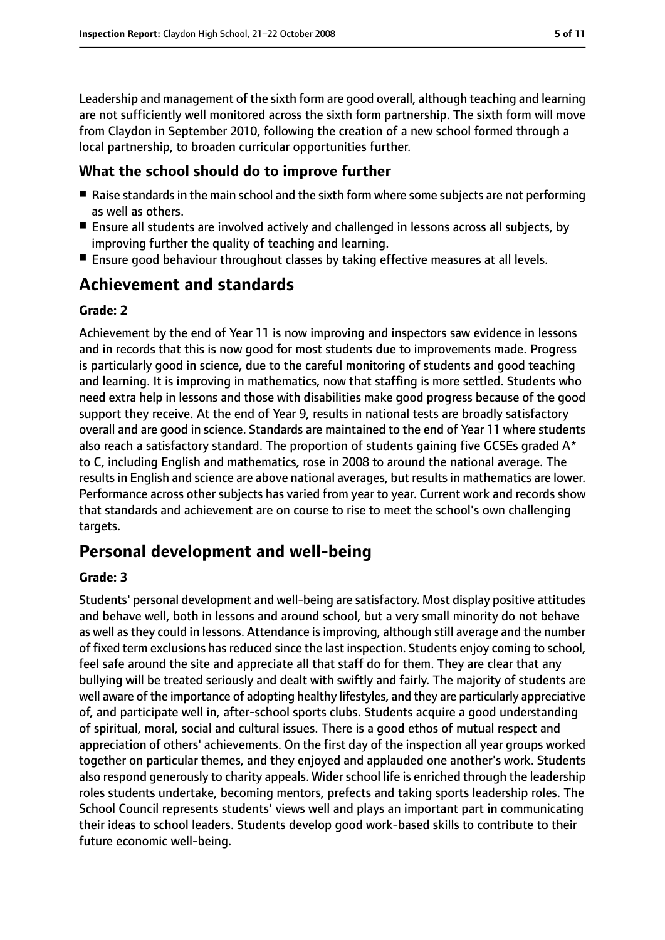Leadership and management of the sixth form are good overall, although teaching and learning are not sufficiently well monitored across the sixth form partnership. The sixth form will move from Claydon in September 2010, following the creation of a new school formed through a local partnership, to broaden curricular opportunities further.

### **What the school should do to improve further**

- Raise standards in the main school and the sixth form where some subjects are not performing as well as others.
- Ensure all students are involved actively and challenged in lessons across all subjects, by improving further the quality of teaching and learning.
- Ensure good behaviour throughout classes by taking effective measures at all levels.

# **Achievement and standards**

### **Grade: 2**

Achievement by the end of Year 11 is now improving and inspectors saw evidence in lessons and in records that this is now good for most students due to improvements made. Progress is particularly good in science, due to the careful monitoring of students and good teaching and learning. It is improving in mathematics, now that staffing is more settled. Students who need extra help in lessons and those with disabilities make good progress because of the good support they receive. At the end of Year 9, results in national tests are broadly satisfactory overall and are good in science. Standards are maintained to the end of Year 11 where students also reach a satisfactory standard. The proportion of students gaining five GCSEs graded  $A^*$ to C, including English and mathematics, rose in 2008 to around the national average. The results in English and science are above national averages, but results in mathematics are lower. Performance across other subjects has varied from year to year. Current work and records show that standards and achievement are on course to rise to meet the school's own challenging targets.

## **Personal development and well-being**

#### **Grade: 3**

Students' personal development and well-being are satisfactory. Most display positive attitudes and behave well, both in lessons and around school, but a very small minority do not behave as well asthey could in lessons. Attendance isimproving, although still average and the number of fixed term exclusions has reduced since the last inspection. Students enjoy coming to school, feel safe around the site and appreciate all that staff do for them. They are clear that any bullying will be treated seriously and dealt with swiftly and fairly. The majority of students are well aware of the importance of adopting healthy lifestyles, and they are particularly appreciative of, and participate well in, after-school sports clubs. Students acquire a good understanding of spiritual, moral, social and cultural issues. There is a good ethos of mutual respect and appreciation of others' achievements. On the first day of the inspection all year groups worked together on particular themes, and they enjoyed and applauded one another's work. Students also respond generously to charity appeals. Wider school life is enriched through the leadership roles students undertake, becoming mentors, prefects and taking sports leadership roles. The School Council represents students' views well and plays an important part in communicating their ideas to school leaders. Students develop good work-based skills to contribute to their future economic well-being.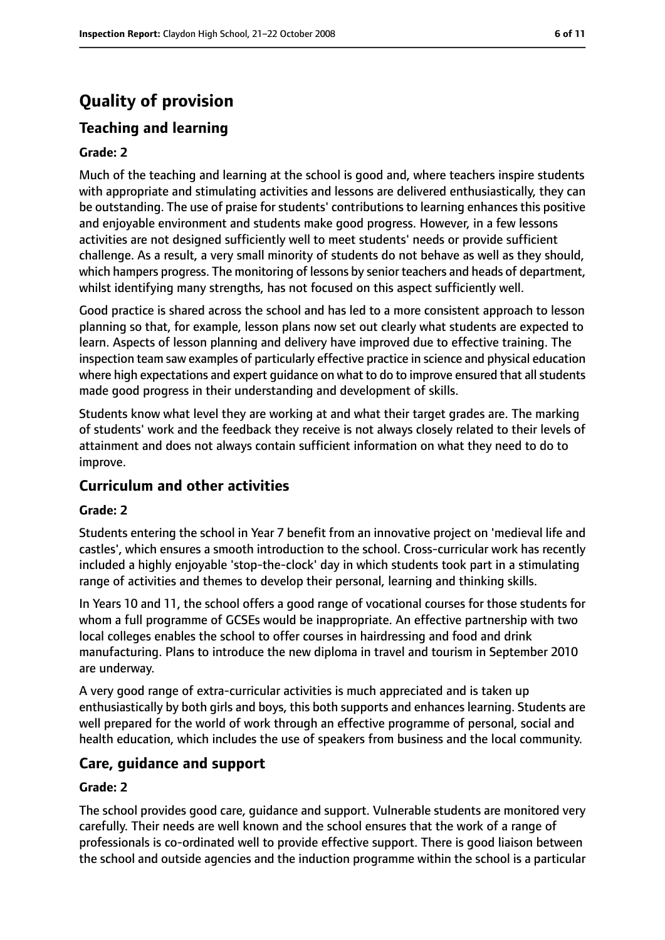# **Quality of provision**

## **Teaching and learning**

#### **Grade: 2**

Much of the teaching and learning at the school is good and, where teachers inspire students with appropriate and stimulating activities and lessons are delivered enthusiastically, they can be outstanding. The use of praise for students' contributions to learning enhances this positive and enjoyable environment and students make good progress. However, in a few lessons activities are not designed sufficiently well to meet students' needs or provide sufficient challenge. As a result, a very small minority of students do not behave as well as they should, which hampers progress. The monitoring of lessons by senior teachers and heads of department, whilst identifying many strengths, has not focused on this aspect sufficiently well.

Good practice is shared across the school and has led to a more consistent approach to lesson planning so that, for example, lesson plans now set out clearly what students are expected to learn. Aspects of lesson planning and delivery have improved due to effective training. The inspection team saw examples of particularly effective practice in science and physical education where high expectations and expert guidance on what to do to improve ensured that all students made good progress in their understanding and development of skills.

Students know what level they are working at and what their target grades are. The marking of students' work and the feedback they receive is not always closely related to their levels of attainment and does not always contain sufficient information on what they need to do to improve.

## **Curriculum and other activities**

#### **Grade: 2**

Students entering the school in Year 7 benefit from an innovative project on 'medieval life and castles', which ensures a smooth introduction to the school. Cross-curricular work has recently included a highly enjoyable 'stop-the-clock' day in which students took part in a stimulating range of activities and themes to develop their personal, learning and thinking skills.

In Years 10 and 11, the school offers a good range of vocational courses for those students for whom a full programme of GCSEs would be inappropriate. An effective partnership with two local colleges enables the school to offer courses in hairdressing and food and drink manufacturing. Plans to introduce the new diploma in travel and tourism in September 2010 are underway.

A very good range of extra-curricular activities is much appreciated and is taken up enthusiastically by both girls and boys, this both supports and enhances learning. Students are well prepared for the world of work through an effective programme of personal, social and health education, which includes the use of speakers from business and the local community.

### **Care, guidance and support**

#### **Grade: 2**

The school provides good care, guidance and support. Vulnerable students are monitored very carefully. Their needs are well known and the school ensures that the work of a range of professionals is co-ordinated well to provide effective support. There is good liaison between the school and outside agencies and the induction programme within the school is a particular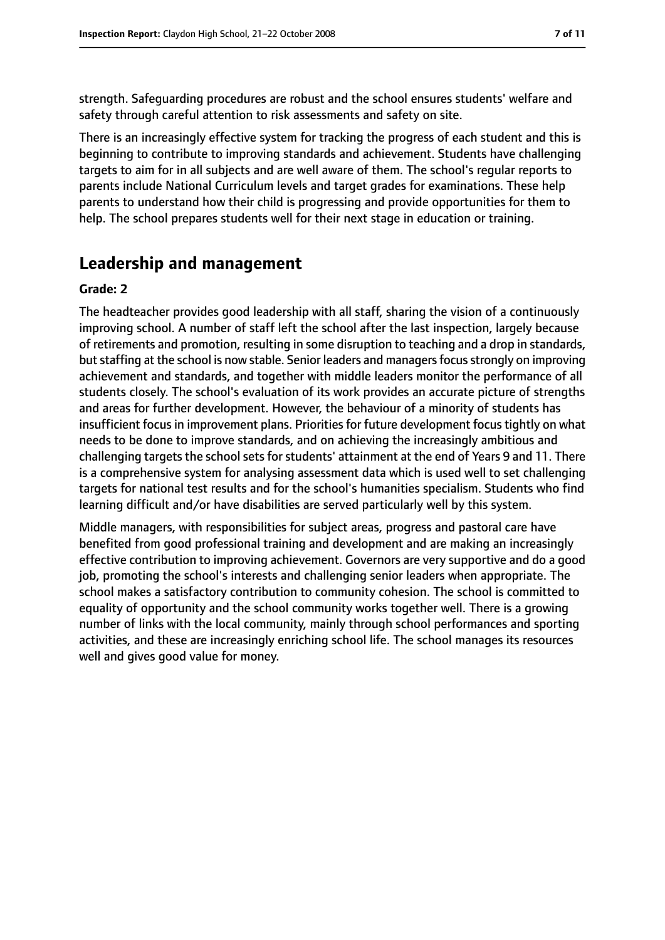strength. Safeguarding procedures are robust and the school ensures students' welfare and safety through careful attention to risk assessments and safety on site.

There is an increasingly effective system for tracking the progress of each student and this is beginning to contribute to improving standards and achievement. Students have challenging targets to aim for in all subjects and are well aware of them. The school's regular reports to parents include National Curriculum levels and target grades for examinations. These help parents to understand how their child is progressing and provide opportunities for them to help. The school prepares students well for their next stage in education or training.

# **Leadership and management**

#### **Grade: 2**

The headteacher provides good leadership with all staff, sharing the vision of a continuously improving school. A number of staff left the school after the last inspection, largely because of retirements and promotion, resulting in some disruption to teaching and a drop in standards, but staffing at the school is now stable. Senior leaders and managers focus strongly on improving achievement and standards, and together with middle leaders monitor the performance of all students closely. The school's evaluation of its work provides an accurate picture of strengths and areas for further development. However, the behaviour of a minority of students has insufficient focus in improvement plans. Priorities for future development focus tightly on what needs to be done to improve standards, and on achieving the increasingly ambitious and challenging targets the school sets for students' attainment at the end of Years 9 and 11. There is a comprehensive system for analysing assessment data which is used well to set challenging targets for national test results and for the school's humanities specialism. Students who find learning difficult and/or have disabilities are served particularly well by this system.

Middle managers, with responsibilities for subject areas, progress and pastoral care have benefited from good professional training and development and are making an increasingly effective contribution to improving achievement. Governors are very supportive and do a good job, promoting the school's interests and challenging senior leaders when appropriate. The school makes a satisfactory contribution to community cohesion. The school is committed to equality of opportunity and the school community works together well. There is a growing number of links with the local community, mainly through school performances and sporting activities, and these are increasingly enriching school life. The school manages its resources well and gives good value for money.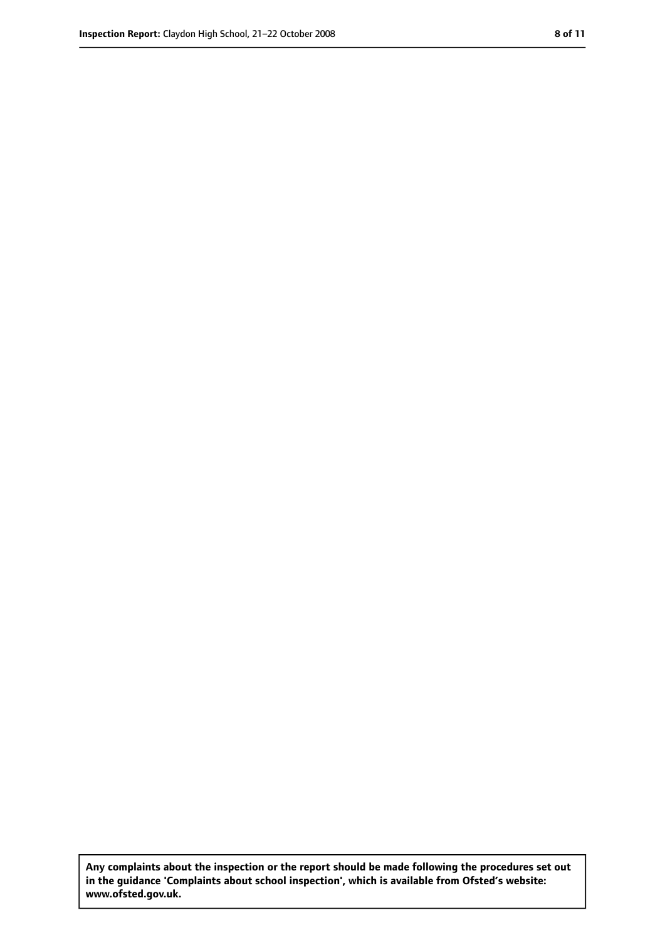**Any complaints about the inspection or the report should be made following the procedures set out in the guidance 'Complaints about school inspection', which is available from Ofsted's website: www.ofsted.gov.uk.**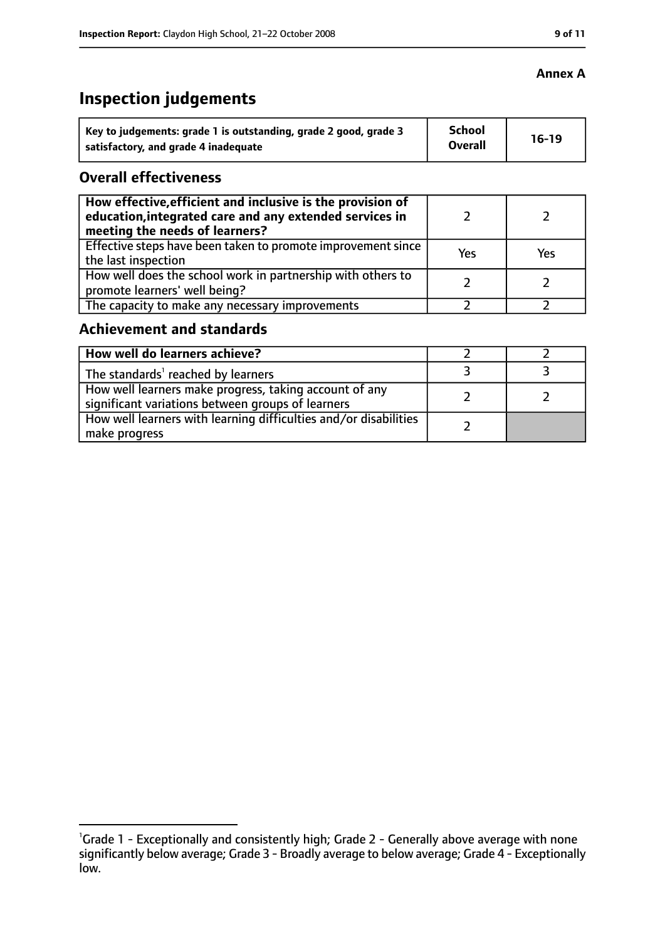# **Inspection judgements**

| Key to judgements: grade 1 is outstanding, grade 2 good, grade 3 | <b>School</b>  | $16-19$ |
|------------------------------------------------------------------|----------------|---------|
| satisfactory, and grade 4 inadequate                             | <b>Overall</b> |         |

## **Overall effectiveness**

| How effective, efficient and inclusive is the provision of<br>education, integrated care and any extended services in<br>meeting the needs of learners? |     |     |
|---------------------------------------------------------------------------------------------------------------------------------------------------------|-----|-----|
| Effective steps have been taken to promote improvement since<br>the last inspection                                                                     | Yes | Yes |
| How well does the school work in partnership with others to<br>promote learners' well being?                                                            |     |     |
| The capacity to make any necessary improvements                                                                                                         |     |     |

## **Achievement and standards**

| How well do learners achieve?                                                                               |  |
|-------------------------------------------------------------------------------------------------------------|--|
| The standards <sup>1</sup> reached by learners                                                              |  |
| How well learners make progress, taking account of any<br>significant variations between groups of learners |  |
| How well learners with learning difficulties and/or disabilities<br>make progress                           |  |

## **Annex A**

<sup>&</sup>lt;sup>1</sup>Grade 1 - Exceptionally and consistently high; Grade 2 - Generally above average with none significantly below average; Grade 3 - Broadly average to below average; Grade 4 - Exceptionally low.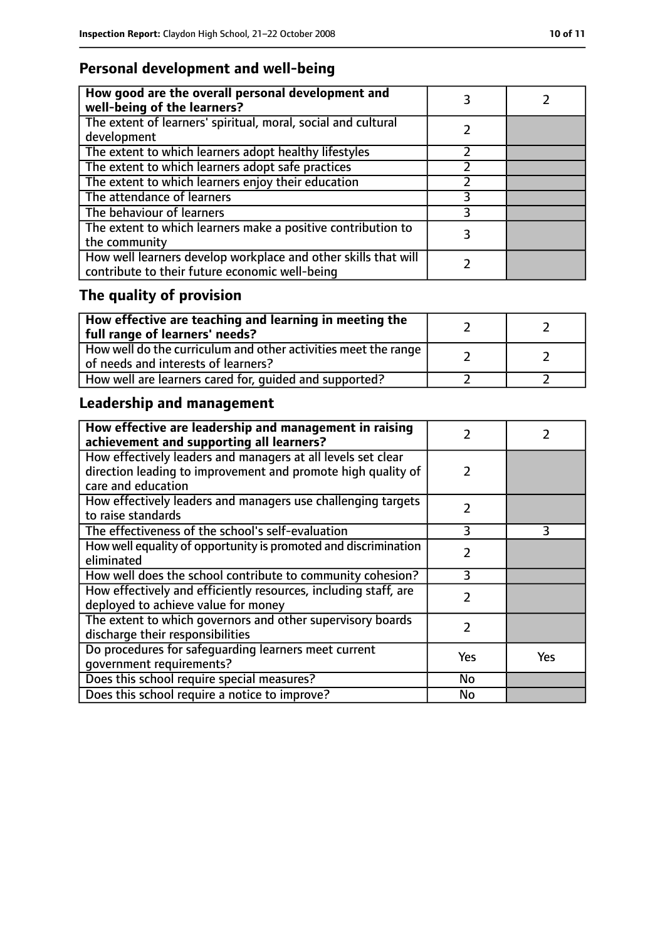# **Personal development and well-being**

| How good are the overall personal development and<br>well-being of the learners?                                 |  |
|------------------------------------------------------------------------------------------------------------------|--|
| The extent of learners' spiritual, moral, social and cultural<br>development                                     |  |
| The extent to which learners adopt healthy lifestyles                                                            |  |
| The extent to which learners adopt safe practices                                                                |  |
| The extent to which learners enjoy their education                                                               |  |
| The attendance of learners                                                                                       |  |
| The behaviour of learners                                                                                        |  |
| The extent to which learners make a positive contribution to<br>the community                                    |  |
| How well learners develop workplace and other skills that will<br>contribute to their future economic well-being |  |

# **The quality of provision**

| $\mid$ How effective are teaching and learning in meeting the<br>full range of learners' needs?       |  |
|-------------------------------------------------------------------------------------------------------|--|
| How well do the curriculum and other activities meet the range<br>of needs and interests of learners? |  |
| How well are learners cared for, quided and supported?                                                |  |

# **Leadership and management**

| How effective are leadership and management in raising<br>achievement and supporting all learners?                           |               |     |
|------------------------------------------------------------------------------------------------------------------------------|---------------|-----|
| How effectively leaders and managers at all levels set clear<br>direction leading to improvement and promote high quality of | 2             |     |
| care and education                                                                                                           |               |     |
| How effectively leaders and managers use challenging targets<br>to raise standards                                           | $\mathcal{P}$ |     |
| The effectiveness of the school's self-evaluation                                                                            | 3             | 3   |
| How well equality of opportunity is promoted and discrimination<br>eliminated                                                | 2             |     |
| How well does the school contribute to community cohesion?                                                                   | 3             |     |
| How effectively and efficiently resources, including staff, are<br>deployed to achieve value for money                       | $\mathcal{P}$ |     |
| The extent to which governors and other supervisory boards<br>discharge their responsibilities                               | $\mathcal{P}$ |     |
| Do procedures for safequarding learners meet current<br>qovernment requirements?                                             | Yes           | Yes |
| Does this school require special measures?                                                                                   | <b>No</b>     |     |
| Does this school require a notice to improve?                                                                                | No            |     |